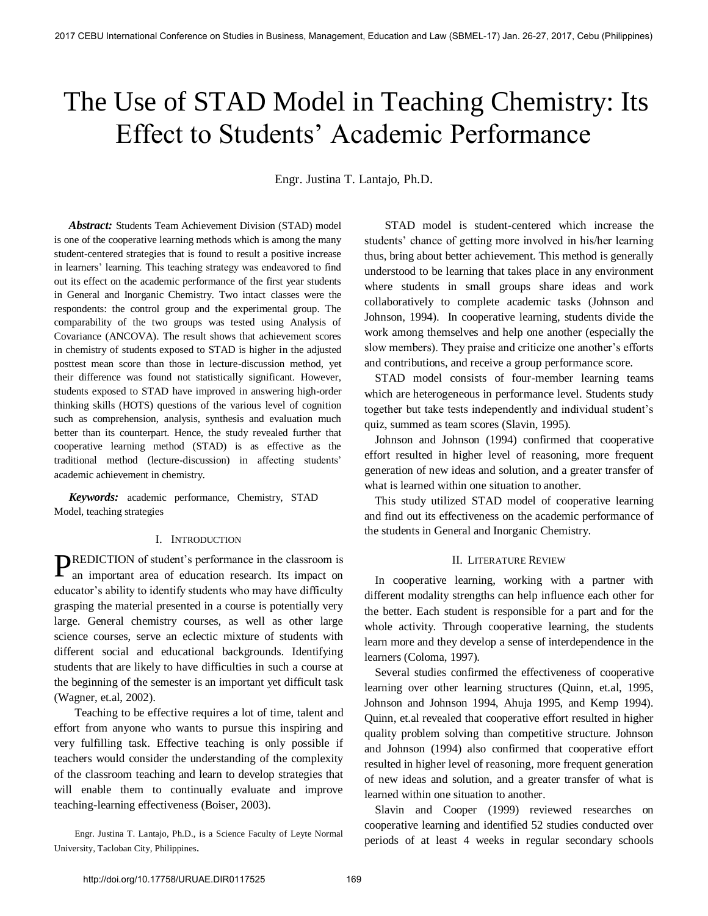# The Use of STAD Model in Teaching Chemistry: Its Effect to Students' Academic Performance

Engr. Justina T. Lantajo, Ph.D.

 *Abstract:* Students Team Achievement Division (STAD) model is one of the cooperative learning methods which is among the many student-centered strategies that is found to result a positive increase in learners' learning. This teaching strategy was endeavored to find out its effect on the academic performance of the first year students in General and Inorganic Chemistry. Two intact classes were the respondents: the control group and the experimental group. The comparability of the two groups was tested using Analysis of Covariance (ANCOVA). The result shows that achievement scores in chemistry of students exposed to STAD is higher in the adjusted posttest mean score than those in lecture-discussion method, yet their difference was found not statistically significant. However, students exposed to STAD have improved in answering high-order thinking skills (HOTS) questions of the various level of cognition such as comprehension, analysis, synthesis and evaluation much better than its counterpart. Hence, the study revealed further that cooperative learning method (STAD) is as effective as the traditional method (lecture-discussion) in affecting students' academic achievement in chemistry*.* 

 *Keywords:* academic performance, Chemistry, STAD Model, teaching strategies

## I. INTRODUCTION

PREDICTION of student's performance in the classroom is an important area of education research. Its impact on an important area of education research. Its impact on educator's ability to identify students who may have difficulty grasping the material presented in a course is potentially very large. General chemistry courses, as well as other large science courses, serve an eclectic mixture of students with different social and educational backgrounds. Identifying students that are likely to have difficulties in such a course at the beginning of the semester is an important yet difficult task (Wagner, et.al, 2002).

Teaching to be effective requires a lot of time, talent and effort from anyone who wants to pursue this inspiring and very fulfilling task. Effective teaching is only possible if teachers would consider the understanding of the complexity of the classroom teaching and learn to develop strategies that will enable them to continually evaluate and improve teaching-learning effectiveness (Boiser, 2003).

Engr. Justina T. Lantajo, Ph.D., is a Science Faculty of Leyte Normal University, Tacloban City, Philippines.

STAD model is student-centered which increase the students' chance of getting more involved in his/her learning thus, bring about better achievement. This method is generally understood to be learning that takes place in any environment where students in small groups share ideas and work collaboratively to complete academic tasks (Johnson and Johnson, 1994). In cooperative learning, students divide the work among themselves and help one another (especially the slow members). They praise and criticize one another's efforts and contributions, and receive a group performance score.

STAD model consists of four-member learning teams which are heterogeneous in performance level. Students study together but take tests independently and individual student's quiz, summed as team scores (Slavin, 1995).

Johnson and Johnson (1994) confirmed that cooperative effort resulted in higher level of reasoning, more frequent generation of new ideas and solution, and a greater transfer of what is learned within one situation to another.

This study utilized STAD model of cooperative learning and find out its effectiveness on the academic performance of the students in General and Inorganic Chemistry.

## II. LITERATURE REVIEW

In cooperative learning, working with a partner with different modality strengths can help influence each other for the better. Each student is responsible for a part and for the whole activity. Through cooperative learning, the students learn more and they develop a sense of interdependence in the learners (Coloma, 1997).

Several studies confirmed the effectiveness of cooperative learning over other learning structures (Quinn, et.al, 1995, Johnson and Johnson 1994, Ahuja 1995, and Kemp 1994). Quinn, et.al revealed that cooperative effort resulted in higher quality problem solving than competitive structure. Johnson and Johnson (1994) also confirmed that cooperative effort resulted in higher level of reasoning, more frequent generation of new ideas and solution, and a greater transfer of what is learned within one situation to another.

Slavin and Cooper (1999) reviewed researches on cooperative learning and identified 52 studies conducted over periods of at least 4 weeks in regular secondary schools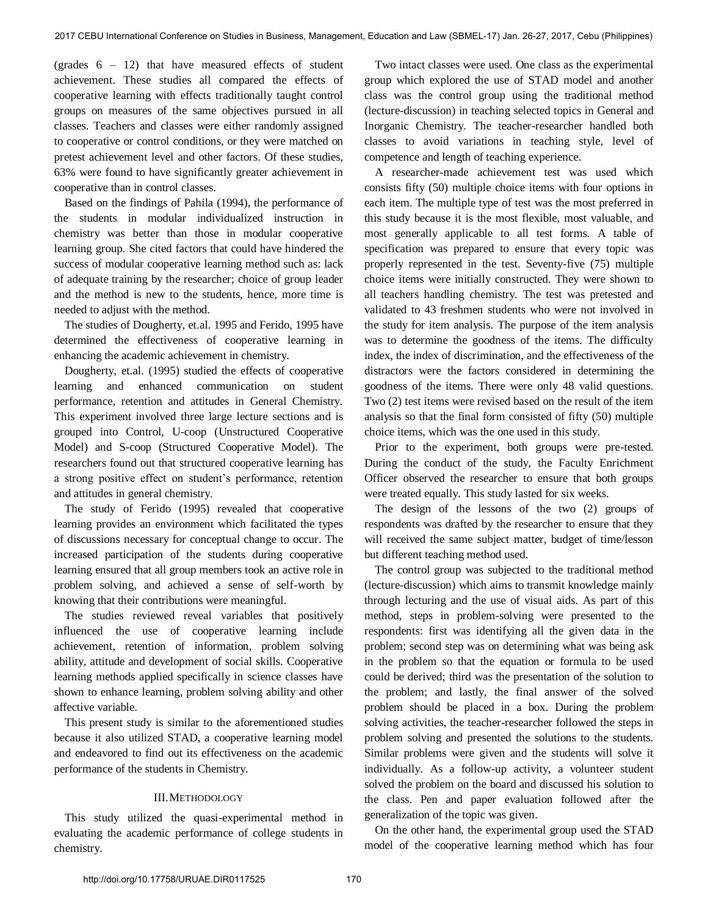(grades  $6 - 12$ ) that have measured effects of student achievement. These studies all compared the effects of cooperative learning with effects traditionally taught control groups on measures of the same objectives pursued in all classes. Teachers and classes were either randomly assigned to cooperative or control conditions, or they were matched on pretest achievement level and other factors. Of these studies, 63% were found to have significantly greater achievement in cooperative than in control classes.

Based on the findings of Pahila (1994), the performance of the students in modular individualized instruction in chemistry was better than those in modular cooperative learning group. She cited factors that could have hindered the success of modular cooperative learning method such as: lack of adequate training by the researcher; choice of group leader and the method is new to the students, hence, more time is needed to adjust with the method.

The studies of Dougherty, et.al. 1995 and Ferido, 1995 have determined the effectiveness of cooperative learning in enhancing the academic achievement in chemistry.

Dougherty, et.al. (1995) studied the effects of cooperative learning and enhanced communication on student performance, retention and attitudes in General Chemistry. This experiment involved three large lecture sections and is grouped into Control, U-coop (Unstructured Cooperative Model) and S-coop (Structured Cooperative Model). The researchers found out that structured cooperative learning has a strong positive effect on student's performance, retention and attitudes in general chemistry.

The study of Ferido (1995) revealed that cooperative learning provides an environment which facilitated the types of discussions necessary for conceptual change to occur. The increased participation of the students during cooperative learning ensured that all group members took an active role in problem solving, and achieved a sense of self-worth by knowing that their contributions were meaningful.

The studies reviewed reveal variables that positively influenced the use of cooperative learning include achievement, retention of information, problem solving ability, attitude and development of social skills. Cooperative learning methods applied specifically in science classes have shown to enhance learning, problem solving ability and other affective variable.

This present study is similar to the aforementioned studies because it also utilized STAD, a cooperative learning model and endeavored to find out its effectiveness on the academic performance of the students in Chemistry.

## III.METHODOLOGY

This study utilized the quasi-experimental method in evaluating the academic performance of college students in chemistry.

Two intact classes were used. One class as the experimental group which explored the use of STAD model and another class was the control group using the traditional method (lecture-discussion) in teaching selected topics in General and Inorganic Chemistry. The teacher-researcher handled both classes to avoid variations in teaching style, level of competence and length of teaching experience.

A researcher-made achievement test was used which consists fifty (50) multiple choice items with four options in each item. The multiple type of test was the most preferred in this study because it is the most flexible, most valuable, and most generally applicable to all test forms. A table of specification was prepared to ensure that every topic was properly represented in the test. Seventy-five (75) multiple choice items were initially constructed. They were shown to all teachers handling chemistry. The test was pretested and validated to 43 freshmen students who were not involved in the study for item analysis. The purpose of the item analysis was to determine the goodness of the items. The difficulty index, the index of discrimination, and the effectiveness of the distractors were the factors considered in determining the goodness of the items. There were only 48 valid questions. Two (2) test items were revised based on the result of the item analysis so that the final form consisted of fifty (50) multiple choice items, which was the one used in this study.

Prior to the experiment, both groups were pre-tested. During the conduct of the study, the Faculty Enrichment Officer observed the researcher to ensure that both groups were treated equally. This study lasted for six weeks.

The design of the lessons of the two (2) groups of respondents was drafted by the researcher to ensure that they will received the same subject matter, budget of time/lesson but different teaching method used.

The control group was subjected to the traditional method (lecture-discussion) which aims to transmit knowledge mainly through lecturing and the use of visual aids. As part of this method, steps in problem-solving were presented to the respondents: first was identifying all the given data in the problem; second step was on determining what was being ask in the problem so that the equation or formula to be used could be derived; third was the presentation of the solution to the problem; and lastly, the final answer of the solved problem should be placed in a box. During the problem solving activities, the teacher-researcher followed the steps in problem solving and presented the solutions to the students. Similar problems were given and the students will solve it individually. As a follow-up activity, a volunteer student solved the problem on the board and discussed his solution to the class. Pen and paper evaluation followed after the generalization of the topic was given.

On the other hand, the experimental group used the STAD model of the cooperative learning method which has four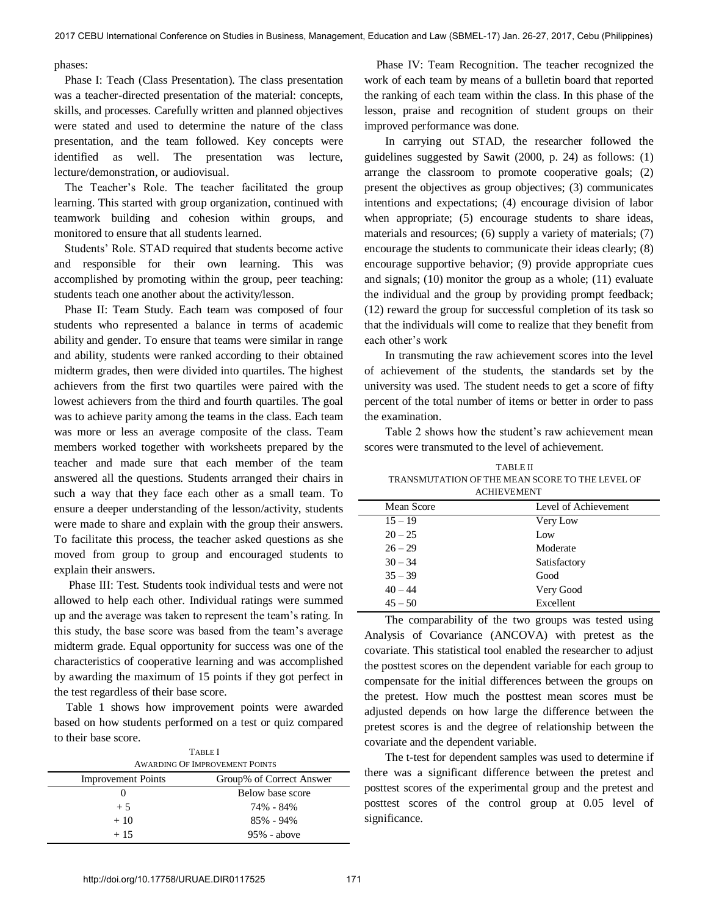phases:

Phase I: Teach (Class Presentation). The class presentation was a teacher-directed presentation of the material: concepts, skills, and processes. Carefully written and planned objectives were stated and used to determine the nature of the class presentation, and the team followed. Key concepts were identified as well. The presentation was lecture, lecture/demonstration, or audiovisual.

The Teacher's Role. The teacher facilitated the group learning. This started with group organization, continued with teamwork building and cohesion within groups, and monitored to ensure that all students learned.

Students' Role. STAD required that students become active and responsible for their own learning. This was accomplished by promoting within the group, peer teaching: students teach one another about the activity/lesson.

Phase II: Team Study. Each team was composed of four students who represented a balance in terms of academic ability and gender. To ensure that teams were similar in range and ability, students were ranked according to their obtained midterm grades, then were divided into quartiles. The highest achievers from the first two quartiles were paired with the lowest achievers from the third and fourth quartiles. The goal was to achieve parity among the teams in the class. Each team was more or less an average composite of the class. Team members worked together with worksheets prepared by the teacher and made sure that each member of the team answered all the questions. Students arranged their chairs in such a way that they face each other as a small team. To ensure a deeper understanding of the lesson/activity, students were made to share and explain with the group their answers. To facilitate this process, the teacher asked questions as she moved from group to group and encouraged students to explain their answers.

 Phase III: Test. Students took individual tests and were not allowed to help each other. Individual ratings were summed up and the average was taken to represent the team's rating. In this study, the base score was based from the team's average midterm grade. Equal opportunity for success was one of the characteristics of cooperative learning and was accomplished by awarding the maximum of 15 points if they got perfect in the test regardless of their base score.

 Table 1 shows how improvement points were awarded based on how students performed on a test or quiz compared to their base score.

| <b>TABLE</b> I                                        |                  |  |  |  |
|-------------------------------------------------------|------------------|--|--|--|
| <b>AWARDING OF IMPROVEMENT POINTS</b>                 |                  |  |  |  |
| Group% of Correct Answer<br><b>Improvement Points</b> |                  |  |  |  |
|                                                       | Below base score |  |  |  |
| $+5$                                                  | 74% - 84%        |  |  |  |
| $+10$                                                 | 85% - 94%        |  |  |  |
| $+15$                                                 | $95%$ - above    |  |  |  |

 Phase IV: Team Recognition. The teacher recognized the work of each team by means of a bulletin board that reported the ranking of each team within the class. In this phase of the lesson, praise and recognition of student groups on their improved performance was done.

In carrying out STAD, the researcher followed the guidelines suggested by Sawit (2000, p. 24) as follows: (1) arrange the classroom to promote cooperative goals; (2) present the objectives as group objectives; (3) communicates intentions and expectations; (4) encourage division of labor when appropriate; (5) encourage students to share ideas, materials and resources; (6) supply a variety of materials; (7) encourage the students to communicate their ideas clearly; (8) encourage supportive behavior; (9) provide appropriate cues and signals; (10) monitor the group as a whole; (11) evaluate the individual and the group by providing prompt feedback; (12) reward the group for successful completion of its task so that the individuals will come to realize that they benefit from each other's work

In transmuting the raw achievement scores into the level of achievement of the students, the standards set by the university was used. The student needs to get a score of fifty percent of the total number of items or better in order to pass the examination.

Table 2 shows how the student's raw achievement mean scores were transmuted to the level of achievement.

| <b>TABLE II</b>                                 |
|-------------------------------------------------|
| TRANSMUTATION OF THE MEAN SCORE TO THE LEVEL OF |
| <b>ACHIEVEMENT</b>                              |

| АСПІЕ У ЕВІЕРГІ |                      |  |  |  |  |
|-----------------|----------------------|--|--|--|--|
| Mean Score      | Level of Achievement |  |  |  |  |
| $15 - 19$       | Very Low             |  |  |  |  |
| $20 - 25$       | Low                  |  |  |  |  |
| $26 - 29$       | Moderate             |  |  |  |  |
| $30 - 34$       | Satisfactory         |  |  |  |  |
| $35 - 39$       | Good                 |  |  |  |  |
| $40 - 44$       | Very Good            |  |  |  |  |
| $45 - 50$       | Excellent            |  |  |  |  |

The comparability of the two groups was tested using Analysis of Covariance (ANCOVA) with pretest as the covariate. This statistical tool enabled the researcher to adjust the posttest scores on the dependent variable for each group to compensate for the initial differences between the groups on the pretest. How much the posttest mean scores must be adjusted depends on how large the difference between the pretest scores is and the degree of relationship between the covariate and the dependent variable.

The t-test for dependent samples was used to determine if there was a significant difference between the pretest and posttest scores of the experimental group and the pretest and posttest scores of the control group at 0.05 level of significance.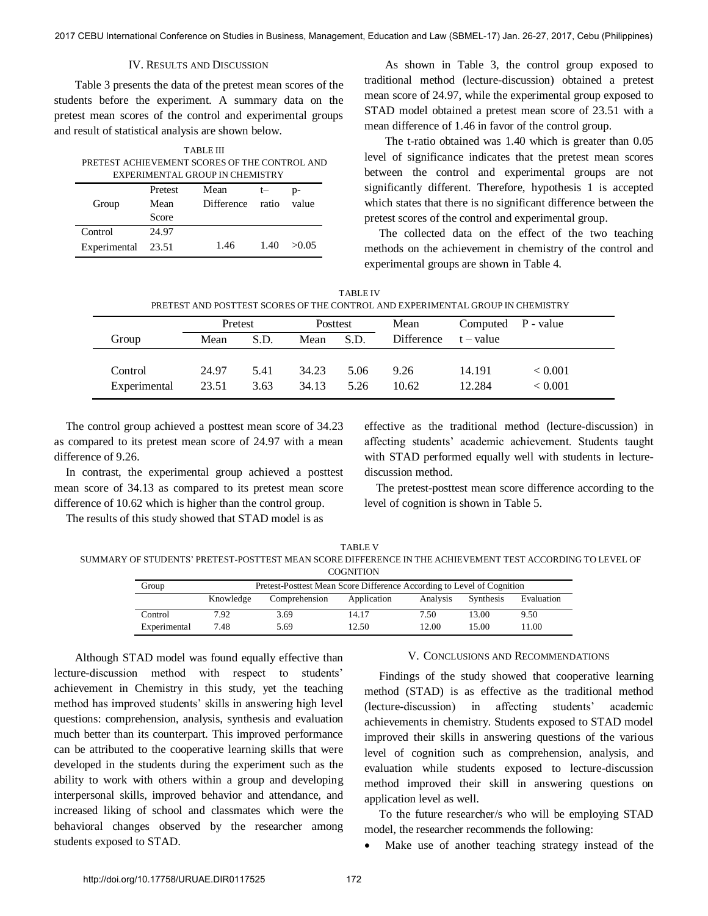## IV. RESULTS AND DISCUSSION

Table 3 presents the data of the pretest mean scores of the students before the experiment. A summary data on the pretest mean scores of the control and experimental groups and result of statistical analysis are shown below.

| PRETEST ACHIEVEMENT SCORES OF THE CONTROL AND |
|-----------------------------------------------|
| EXPERIMENTAL GROUP IN CHEMISTRY               |

|                    | Pretest | Mean             | t-   |       |
|--------------------|---------|------------------|------|-------|
| Group              | Mean    | Difference ratio |      | value |
|                    | Score   |                  |      |       |
| Control            | 24.97   |                  |      |       |
| Experimental 23.51 |         | 1.46             | 1.40 | >0.05 |

As shown in Table 3, the control group exposed to traditional method (lecture-discussion) obtained a pretest mean score of 24.97, while the experimental group exposed to STAD model obtained a pretest mean score of 23.51 with a mean difference of 1.46 in favor of the control group.

The t-ratio obtained was 1.40 which is greater than 0.05 level of significance indicates that the pretest mean scores between the control and experimental groups are not significantly different. Therefore, hypothesis 1 is accepted which states that there is no significant difference between the pretest scores of the control and experimental group.

 The collected data on the effect of the two teaching methods on the achievement in chemistry of the control and experimental groups are shown in Table 4.

| <b>TABLE IV</b>                                                                |  |  |  |  |  |  |
|--------------------------------------------------------------------------------|--|--|--|--|--|--|
| PRETEST AND POSTTEST SCORES OF THE CONTROL AND EXPERIMENTAL GROUP IN CHEMISTRY |  |  |  |  |  |  |

|              | Pretest |      | Posttest |      | Mean       | Computed P - value |                |
|--------------|---------|------|----------|------|------------|--------------------|----------------|
| Group        | Mean    | S.D. | Mean     | S.D. | Difference | t – value          |                |
|              |         |      |          |      |            |                    |                |
| Control      | 24.97   | 5.41 | 34.23    | 5.06 | 9.26       | 14.191             | ${}_{< 0.001}$ |
| Experimental | 23.51   | 3.63 | 34.13    | 5.26 | 10.62      | 12.284             | < 0.001        |

The control group achieved a posttest mean score of 34.23 as compared to its pretest mean score of 24.97 with a mean difference of 9.26.

In contrast, the experimental group achieved a posttest mean score of 34.13 as compared to its pretest mean score difference of 10.62 which is higher than the control group.

The results of this study showed that STAD model is as

effective as the traditional method (lecture-discussion) in affecting students' academic achievement. Students taught with STAD performed equally well with students in lecturediscussion method.

 The pretest-posttest mean score difference according to the level of cognition is shown in Table 5.

TABLE V

SUMMARY OF STUDENTS' PRETEST-POSTTEST MEAN SCORE DIFFERENCE IN THE ACHIEVEMENT TEST ACCORDING TO LEVEL OF **COGNITION** 

| .            |                                                                        |               |             |          |           |            |  |
|--------------|------------------------------------------------------------------------|---------------|-------------|----------|-----------|------------|--|
| Group        | Pretest-Posttest Mean Score Difference According to Level of Cognition |               |             |          |           |            |  |
|              | Knowledge                                                              | Comprehension | Application | Analysis | Synthesis | Evaluation |  |
| Control      | 7.92                                                                   | 3.69          | 14.17       | 7.50     | 13.00     | 9.50       |  |
| Experimental | 7.48                                                                   | 5.69          | 12.50       | 12.00    | 15.00     | 1.00       |  |

Although STAD model was found equally effective than lecture-discussion method with respect to students' achievement in Chemistry in this study, yet the teaching method has improved students' skills in answering high level questions: comprehension, analysis, synthesis and evaluation much better than its counterpart. This improved performance can be attributed to the cooperative learning skills that were developed in the students during the experiment such as the ability to work with others within a group and developing interpersonal skills, improved behavior and attendance, and increased liking of school and classmates which were the behavioral changes observed by the researcher among students exposed to STAD.

## V. CONCLUSIONS AND RECOMMENDATIONS

 Findings of the study showed that cooperative learning method (STAD) is as effective as the traditional method (lecture-discussion) in affecting students' academic achievements in chemistry. Students exposed to STAD model improved their skills in answering questions of the various level of cognition such as comprehension, analysis, and evaluation while students exposed to lecture-discussion method improved their skill in answering questions on application level as well.

 To the future researcher/s who will be employing STAD model, the researcher recommends the following:

Make use of another teaching strategy instead of the